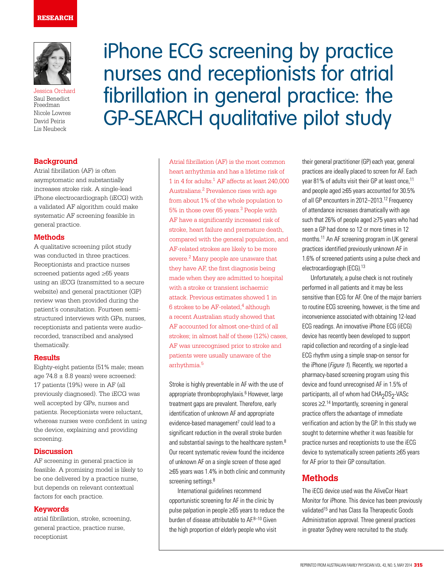

Jessica Orchard Saul Benedict Freedman Nicole Lowres David Peiris Lis Neubeck

# **Background**

Atrial fibrillation (AF) is often asymptomatic and substantially increases stroke risk. A single-lead iPhone electrocardiograph (iECG) with a validated AF algorithm could make systematic AF screening feasible in general practice.

### **Methods**

A qualitative screening pilot study was conducted in three practices. Receptionists and practice nurses screened patients aged ≥65 years using an iECG (transmitted to a secure website) and general practitioner (GP) review was then provided during the patient's consultation. Fourteen semistructured interviews with GPs, nurses, receptionists and patients were audiorecorded, transcribed and analysed thematically.

#### **Results**

Eighty-eight patients (51% male; mean age  $74.8 \pm 8.8$  years) were screened: 17 patients (19%) were in AF (all previously diagnosed). The iECG was well accepted by GPs, nurses and patients. Receptionists were reluctant, whereas nurses were confident in using the device, explaining and providing screening.

### **Discussion**

AF screening in general practice is feasible. A promising model is likely to be one delivered by a practice nurse, but depends on relevant contextual factors for each practice.

#### **Keywords**

atrial fibrillation, stroke, screening, general practice, practice nurse, receptionist

iPhone ECG screening by practice nurses and receptionists for atrial fibrillation in general practice: the GP-SEARCH qualitative pilot study

> Atrial fibrillation (AF) is the most common heart arrhythmia and has a lifetime risk of 1 in 4 for adults.1 AF affects at least 240,000 Australians.2 Prevalence rises with age from about 1% of the whole population to 5% in those over 65 years.3 People with AF have a significantly increased risk of stroke, heart failure and premature death, compared with the general population, and AF-related strokes are likely to be more severe.<sup>2</sup> Many people are unaware that they have AF, the first diagnosis being made when they are admitted to hospital with a stroke or transient ischaemic attack. Previous estimates showed 1 in 6 strokes to be  $AF$ -related,<sup>4</sup> although a recent Australian study showed that AF accounted for almost one-third of all strokes; in almost half of these (12%) cases, AF was unrecognised prior to stroke and patients were usually unaware of the arrhythmia.<sup>5</sup>

Stroke is highly preventable in AF with the use of appropriate thromboprophylaxis.<sup>6</sup> However, large treatment gaps are prevalent. Therefore, early identification of unknown AF and appropriate evidence-based management<sup>7</sup> could lead to a significant reduction in the overall stroke burden and substantial savings to the healthcare system.<sup>8</sup> Our recent systematic review found the incidence of unknown AF on a single screen of those aged ≥65 years was 1.4% in both clinic and community screening settings.<sup>8</sup>

International guidelines recommend opportunistic screening for AF in the clinic by pulse palpation in people ≥65 years to reduce the burden of disease attributable to  $AF^{8-10}$  Given the high proportion of elderly people who visit

their general practitioner (GP) each year, general practices are ideally placed to screen for AF. Each year 81% of adults visit their GP at least once,<sup>11</sup> and people aged ≥65 years accounted for 30.5% of all GP encounters in 2012–2013.12 Frequency of attendance increases dramatically with age such that 26% of people aged ≥75 years who had seen a GP had done so 12 or more times in 12 months.11 An AF screening program in UK general practices identified previously unknown AF in 1.6% of screened patients using a pulse check and electrocardiograph (ECG).<sup>13</sup>

Unfortunately, a pulse check is not routinely performed in all patients and it may be less sensitive than ECG for AF. One of the major barriers to routine ECG screening, however, is the time and inconvenience associated with obtaining 12-lead ECG readings. An innovative iPhone ECG (iECG) device has recently been developed to support rapid collection and recording of a single-lead ECG rhythm using a simple snap-on sensor for the iPhone (Figure 1). Recently, we reported a pharmacy-based screening program using this device and found unrecognised AF in 1.5% of participants, all of whom had CHA<sub>2</sub>DS<sub>2</sub>-VASc scores ≥2.14 Importantly, screening in general practice offers the advantage of immediate verification and action by the GP. In this study we sought to determine whether it was feasible for practice nurses and receptionists to use the iECG device to systematically screen patients ≥65 years for AF prior to their GP consultation.

# **Methods**

The iECG device used was the AliveCor Heart Monitor for iPhone. This device has been previously validated<sup>15</sup> and has Class IIa Therapeutic Goods Administration approval. Three general practices in greater Sydney were recruited to the study.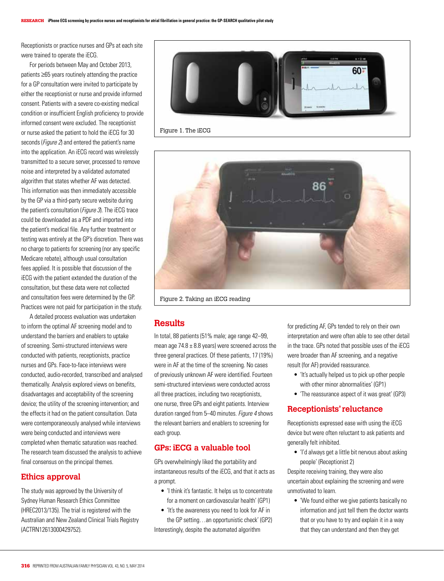Receptionists or practice nurses and GPs at each site were trained to operate the iECG.

For periods between May and October 2013, patients ≥65 years routinely attending the practice for a GP consultation were invited to participate by either the receptionist or nurse and provide informed consent. Patients with a severe co-existing medical condition or insufficient English proficiency to provide informed consent were excluded. The receptionist or nurse asked the patient to hold the iECG for 30 seconds (*Figure 2*) and entered the patient's name into the application. An iECG record was wirelessly transmitted to a secure server, processed to remove noise and interpreted by a validated automated algorithm that states whether AF was detected. This information was then immediately accessible by the GP via a third-party secure website during the patient's consultation (Figure 3). The iECG trace could be downloaded as a PDF and imported into the patient's medical file. Any further treatment or testing was entirely at the GP's discretion. There was no charge to patients for screening (nor any specific Medicare rebate), although usual consultation fees applied. It is possible that discussion of the iECG with the patient extended the duration of the consultation, but these data were not collected and consultation fees were determined by the GP. Practices were not paid for participation in the study.

A detailed process evaluation was undertaken to inform the optimal AF screening model and to understand the barriers and enablers to uptake of screening. Semi-structured interviews were conducted with patients, receptionists, practice nurses and GPs. Face-to-face interviews were conducted, audio-recorded, transcribed and analysed thematically. Analysis explored views on benefits, disadvantages and acceptability of the screening device; the utility of the screening intervention; and the effects it had on the patient consultation. Data were contemporaneously analysed while interviews were being conducted and interviews were completed when thematic saturation was reached. The research team discussed the analysis to achieve final consensus on the principal themes.

# **Ethics approval**

The study was approved by the University of Sydney Human Research Ethics Committee (HREC2013/135). The trial is registered with the Australian and New Zealand Clinical Trials Registry (ACTRN12613000429752).



Figure 1. The iECG



Figure 2. Taking an iECG reading

# **Results**

In total, 88 patients (51% male; age range 42–99, mean age  $74.8 \pm 8.8$  years) were screened across the three general practices. Of these patients, 17 (19%) were in AF at the time of the screening. No cases of previously unknown AF were identified. Fourteen semi-structured interviews were conducted across all three practices, including two receptionists, one nurse, three GPs and eight patients. Interview duration ranged from 5-40 minutes. Figure 4 shows the relevant barriers and enablers to screening for each group.

## **GPs: iECG a valuable tool**

GPs overwhelmingly liked the portability and instantaneous results of the iECG, and that it acts as a prompt.

- 'I think it's fantastic. It helps us to concentrate for a moment on cardiovascular health' (GP1)
- 'It's the awareness you need to look for AF in the GP setting…an opportunistic check' (GP2)

Interestingly, despite the automated algorithm

for predicting AF, GPs tended to rely on their own interpretation and were often able to see other detail in the trace. GPs noted that possible uses of the iECG were broader than AF screening, and a negative result (for AF) provided reassurance.

- 'It's actually helped us to pick up other people with other minor abnormalities' (GP1)
- 'The reassurance aspect of it was great' (GP3)

### **Receptionists' reluctance**

Receptionists expressed ease with using the iECG device but were often reluctant to ask patients and generally felt inhibited.

• 'I'd always get a little bit nervous about asking people' (Receptionist 2)

Despite receiving training, they were also uncertain about explaining the screening and were unmotivated to learn.

• 'We found either we give patients basically no information and just tell them the doctor wants that or you have to try and explain it in a way that they can understand and then they get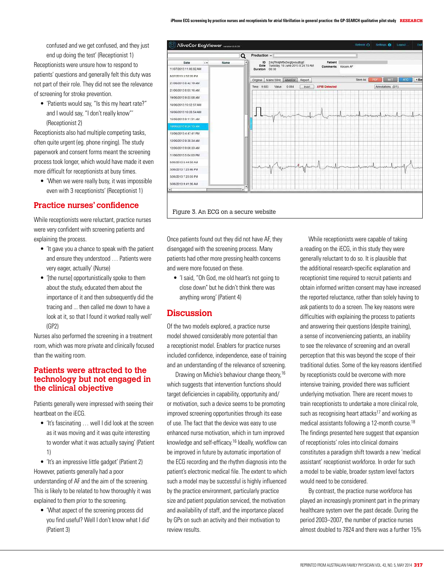confused and we get confused, and they just end up doing the test' (Receptionist 1) Receptionists were unsure how to respond to patients' questions and generally felt this duty was not part of their role. They did not see the relevance of screening for stroke prevention.

• 'Patients would say, "Is this my heart rate?" and I would say, "I don't really know"' (Receptionist 2)

Receptionists also had multiple competing tasks, often quite urgent (eg. phone ringing). The study paperwork and consent forms meant the screening process took longer, which would have made it even more difficult for receptionists at busy times.

• 'When we were really busy, it was impossible even with 3 receptionists' (Receptionist 1)

# **Practice nurses' confidence**

While receptionists were reluctant, practice nurses were very confident with screening patients and explaining the process.

- 'It gave you a chance to speak with the patient and ensure they understood … Patients were very eager, actually' (Nurse)
- '[the nurse] opportunistically spoke to them about the study, educated them about the importance of it and then subsequently did the tracing and ... then called me down to have a look at it, so that I found it worked really well' (GP2)

Nurses also performed the screening in a treatment room, which was more private and clinically focused than the waiting room.

## **Patients were attracted to the technology but not engaged in the clinical objective**

Patients generally were impressed with seeing their heartbeat on the iECG.

• 'It's fascinating … well I did look at the screen as it was moving and it was quite interesting to wonder what it was actually saying' (Patient 1)

• 'It's an impressive little gadget' (Patient 2) However, patients generally had a poor understanding of AF and the aim of the screening. This is likely to be related to how thoroughly it was explained to them prior to the screening.

• 'What aspect of the screening process did you find useful? Well I don't know what I did' (Patient 3)



Once patients found out they did not have AF, they disengaged with the screening process. Many patients had other more pressing health concerns and were more focused on these.

• 'I said, "Oh God, me old heart's not going to close down" but he didn't think there was anything wrong' (Patient 4)

# **Discussion**

Of the two models explored, a practice nurse model showed considerably more potential than a receptionist model. Enablers for practice nurses included confidence, independence, ease of training and an understanding of the relevance of screening.

Drawing on Michie's behaviour change theory,<sup>16</sup> which suggests that intervention functions should target deficiencies in capability, opportunity and/ or motivation, such a device seems to be promoting improved screening opportunities through its ease of use. The fact that the device was easy to use enhanced nurse motivation, which in turn improved knowledge and self-efficacy.16 Ideally, workflow can be improved in future by automatic importation of the ECG recording and the rhythm diagnosis into the patient's electronic medical file. The extent to which such a model may be successful is highly influenced by the practice environment, particularly practice size and patient population serviced, the motivation and availability of staff, and the importance placed by GPs on such an activity and their motivation to review results.

While receptionists were capable of taking a reading on the iECG, in this study they were generally reluctant to do so. It is plausible that the additional research-specific explanation and receptionist time required to recruit patients and obtain informed written consent may have increased the reported reluctance, rather than solely having to ask patients to do a screen. The key reasons were difficulties with explaining the process to patients and answering their questions (despite training), a sense of inconveniencing patients, an inability to see the relevance of screening and an overall perception that this was beyond the scope of their traditional duties. Some of the key reasons identified by receptionists could be overcome with more intensive training, provided there was sufficient underlying motivation. There are recent moves to train receptionists to undertake a more clinical role, such as recognising heart attacks<sup>17</sup> and working as medical assistants following a 12-month course.<sup>18</sup> The findings presented here suggest that expansion of receptionists' roles into clinical domains constitutes a paradigm shift towards a new 'medical assistant' receptionist workforce. In order for such a model to be viable, broader system level factors would need to be considered.

By contrast, the practice nurse workforce has played an increasingly prominent part in the primary healthcare system over the past decade. During the period 2003–2007, the number of practice nurses almost doubled to 7824 and there was a further 15%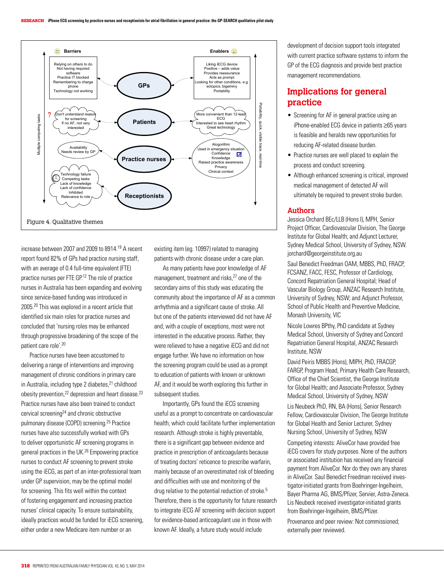

increase between 2007 and 2009 to 8914.19 A recent report found 82% of GPs had practice nursing staff, with an average of 0.4 full-time equivalent (FTE) practice nurses per FTE GP.12 The role of practice nurses in Australia has been expanding and evolving since service-based funding was introduced in 2005.20 This was explored in a recent article that identified six main roles for practice nurses and concluded that 'nursing roles may be enhanced through progressive broadening of the scope of the patient care role'.20

Practice nurses have been accustomed to delivering a range of interventions and improving management of chronic conditions in primary care in Australia, including type 2 diabetes, $21$  childhood obesity prevention, $^{22}$  depression and heart disease. $^{23}$ Practice nurses have also been trained to conduct cervical screening24 and chronic obstructive pulmonary disease (COPD) screening.25 Practice nurses have also successfully worked with GPs to deliver opportunistic AF screening programs in general practices in the UK.26 Empowering practice nurses to conduct AF screening to prevent stroke using the iECG, as part of an inter-professional team under GP supervision, may be the optimal model for screening. This fits well within the context of fostering engagement and increasing practice nurses' clinical capacity. To ensure sustainability, ideally practices would be funded for iECG screening, either under a new Medicare item number or an

existing item (eg. 10997) related to managing patients with chronic disease under a care plan.

As many patients have poor knowledge of AF management, treatment and risks,<sup>27</sup> one of the secondary aims of this study was educating the community about the importance of AF as a common arrhythmia and a significant cause of stroke. All but one of the patients interviewed did not have AF and, with a couple of exceptions, most were not interested in the educative process. Rather, they were relieved to have a negative iECG and did not engage further. We have no information on how the screening program could be used as a prompt to education of patients with known or unknown AF, and it would be worth exploring this further in subsequent studies.

Importantly, GPs found the iECG screening useful as a prompt to concentrate on cardiovascular health, which could facilitate further implementation research. Although stroke is highly preventable, there is a significant gap between evidence and practice in prescription of anticoagulants because of treating doctors' reticence to prescribe warfarin, mainly because of an overestimated risk of bleeding and difficulties with use and monitoring of the drug relative to the potential reduction of stroke.<sup>5</sup> Therefore, there is the opportunity for future research to integrate iECG AF screening with decision support for evidence-based anticoagulant use in those with known AF. Ideally, a future study would include

development of decision support tools integrated with current practice software systems to inform the GP of the ECG diagnosis and provide best practice management recommendations.

# **Implications for general practice**

- Screening for AF in general practice using an iPhone-enabled ECG device in patients ≥65 years is feasible and heralds new opportunities for reducing AF-related disease burden.
- Practice nurses are well placed to explain the process and conduct screening.
- Although enhanced screening is critical, improved medical management of detected AF will ultimately be required to prevent stroke burden.

### **Authors**

Jessica Orchard BEc/LLB (Hons I), MPH, Senior Project Officer, Cardiovascular Division, The George Institute for Global Health; and Adjunct Lecturer, Sydney Medical School, University of Sydney, NSW. jorchard@georgeinstitute.org.au

Saul Benedict Freedman OAM, MBBS, PhD, FRACP, FCSANZ, FACC, FESC, Professor of Cardiology, Concord Repatriation General Hospital; Head of Vascular Biology Group, ANZAC Research Institute, University of Sydney, NSW; and Adjunct Professor, School of Public Health and Preventive Medicine, Monash University, VIC

Nicole Lowres BPthy, PhD candidate at Sydney Medical School, University of Sydney and Concord Repatriation General Hospital, ANZAC Research Institute, NSW

David Peiris MBBS (Hons), MIPH, PhD, FRACGP, FARGP, Program Head, Primary Health Care Research, Office of the Chief Scientist, the George Institute for Global Health; and Associate Professor, Sydney Medical School, University of Sydney, NSW

Lis Neubeck PhD, RN, BA (Hons), Senior Research Fellow, Cardiovascular Division, The George Institute for Global Health and Senior Lecturer, Sydney Nursing School, University of Sydney, NSW

Competing interests: AliveCor have provided free iECG covers for study purposes. None of the authors or associated institution has received any financial payment from AliveCor. Nor do they own any shares in AliveCor. Saul Benedict Freedman received investigator-initiated grants from Boehringer-Ingelheim, Bayer Pharma AG, BMS/Pfizer, Servier, Astra-Zeneca. Lis Neubeck received investigator-initiated grants from Boehringer-Ingelheim, BMS/Pfizer.

Provenance and peer review: Not commissioned; externally peer reviewed.